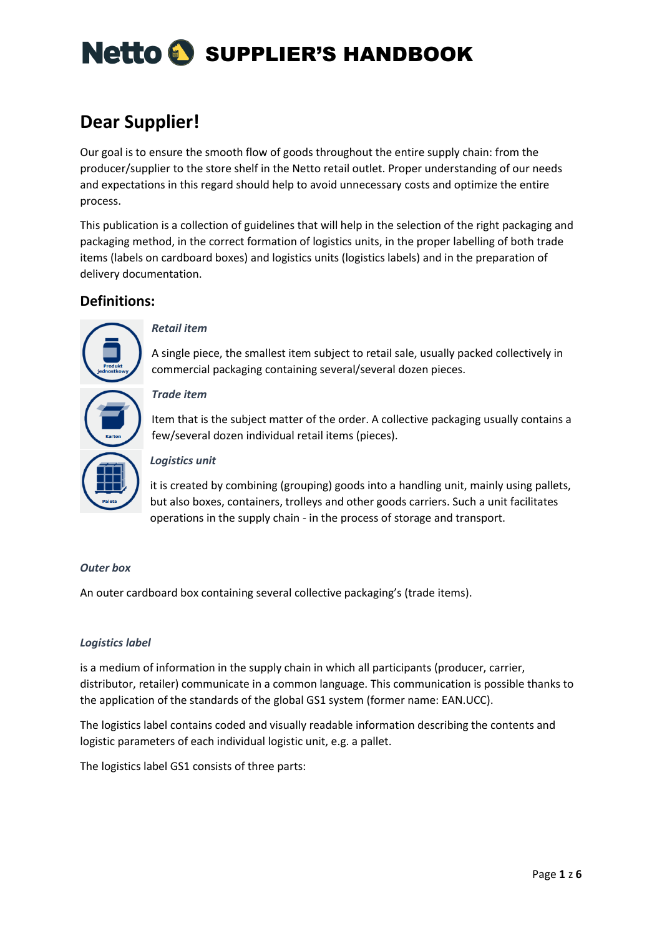# **Dear Supplier!**

Our goal is to ensure the smooth flow of goods throughout the entire supply chain: from the producer/supplier to the store shelf in the Netto retail outlet. Proper understanding of our needs and expectations in this regard should help to avoid unnecessary costs and optimize the entire process.

This publication is a collection of guidelines that will help in the selection of the right packaging and packaging method, in the correct formation of logistics units, in the proper labelling of both trade items (labels on cardboard boxes) and logistics units (logistics labels) and in the preparation of delivery documentation.

# **Definitions:**



### *Retail item*

A single piece, the smallest item subject to retail sale, usually packed collectively in commercial packaging containing several/several dozen pieces.

### *Trade item*

Item that is the subject matter of the order. A collective packaging usually contains a few/several dozen individual retail items (pieces).

### *Logistics unit*

it is created by combining (grouping) goods into a handling unit, mainly using pallets, but also boxes, containers, trolleys and other goods carriers. Such a unit facilitates operations in the supply chain - in the process of storage and transport.

### *Outer box*

An outer cardboard box containing several collective packaging's (trade items).

### *Logistics label*

is a medium of information in the supply chain in which all participants (producer, carrier, distributor, retailer) communicate in a common language. This communication is possible thanks to the application of the standards of the global GS1 system (former name: EAN.UCC).

The logistics label contains coded and visually readable information describing the contents and logistic parameters of each individual logistic unit, e.g. a pallet.

The logistics label GS1 consists of three parts: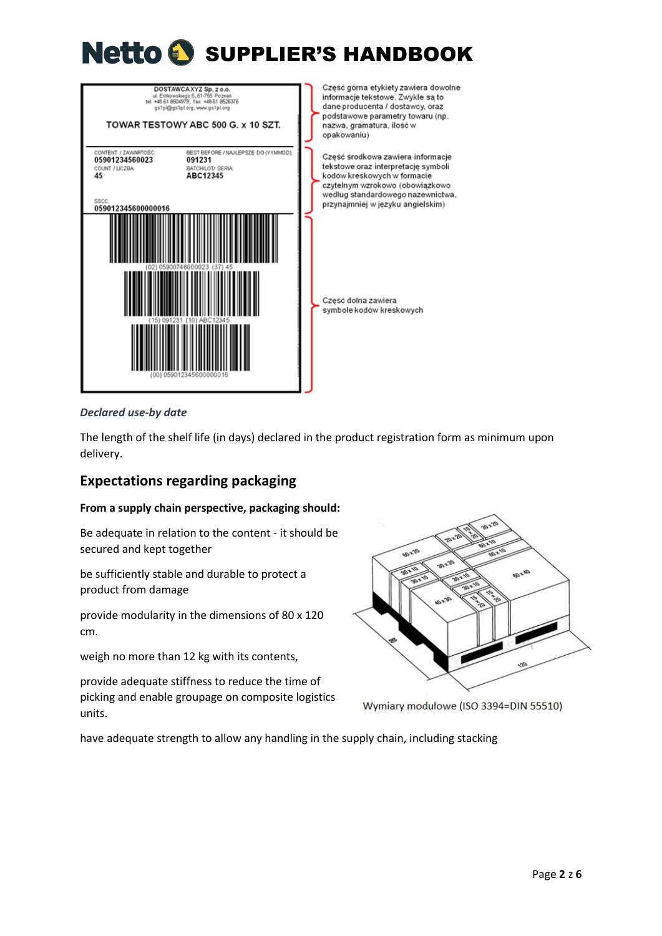

#### *Declared use-by date*

The length of the shelf life (in days) declared in the product registration form as minimum upon delivery.

## **Expectations regarding packaging**

#### **From a supply chain perspective, packaging should:**

Be adequate in relation to the content - it should be secured and kept together

be sufficiently stable and durable to protect a product from damage

provide modularity in the dimensions of 80 x 120 cm.

weigh no more than 12 kg with its contents,

provide adequate stiffness to reduce the time of picking and enable groupage on composite logistics units.



Wymiary modułowe (ISO 3394=DIN 55510)

have adequate strength to allow any handling in the supply chain, including stacking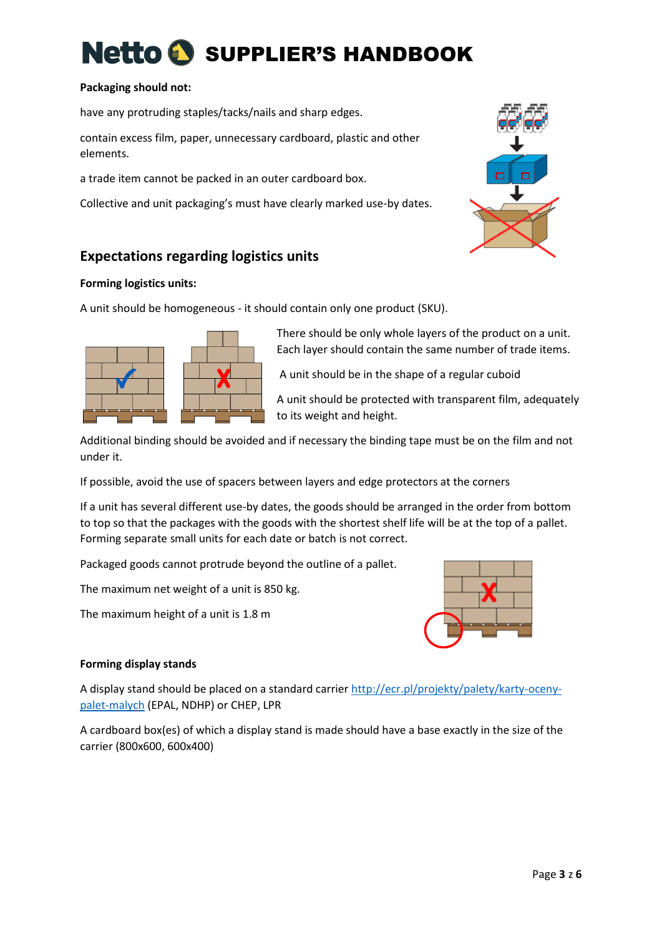#### **Packaging should not:**

have any protruding staples/tacks/nails and sharp edges.

contain excess film, paper, unnecessary cardboard, plastic and other elements.

a trade item cannot be packed in an outer cardboard box.

Collective and unit packaging's must have clearly marked use-by dates.



# **Expectations regarding logistics units**

#### **Forming logistics units:**

A unit should be homogeneous - it should contain only one product (SKU).



There should be only whole layers of the product on a unit. Each layer should contain the same number of trade items.

A unit should be in the shape of a regular cuboid

A unit should be protected with transparent film, adequately to its weight and height.

Additional binding should be avoided and if necessary the binding tape must be on the film and not under it.

If possible, avoid the use of spacers between layers and edge protectors at the corners

If a unit has several different use-by dates, the goods should be arranged in the order from bottom to top so that the packages with the goods with the shortest shelf life will be at the top of a pallet. Forming separate small units for each date or batch is not correct.

Packaged goods cannot protrude beyond the outline of a pallet.

The maximum net weight of a unit is 850 kg.

The maximum height of a unit is 1.8 m



### **Forming display stands**

A display stand should be placed on a standard carrier [http://ecr.pl/projekty/palety/karty-oceny](http://ecr.pl/projekty/palety/karty-oceny-palet-malych)[palet-malych](http://ecr.pl/projekty/palety/karty-oceny-palet-malych) (EPAL, NDHP) or CHEP, LPR

A cardboard box(es) of which a display stand is made should have a base exactly in the size of the carrier (800x600, 600x400)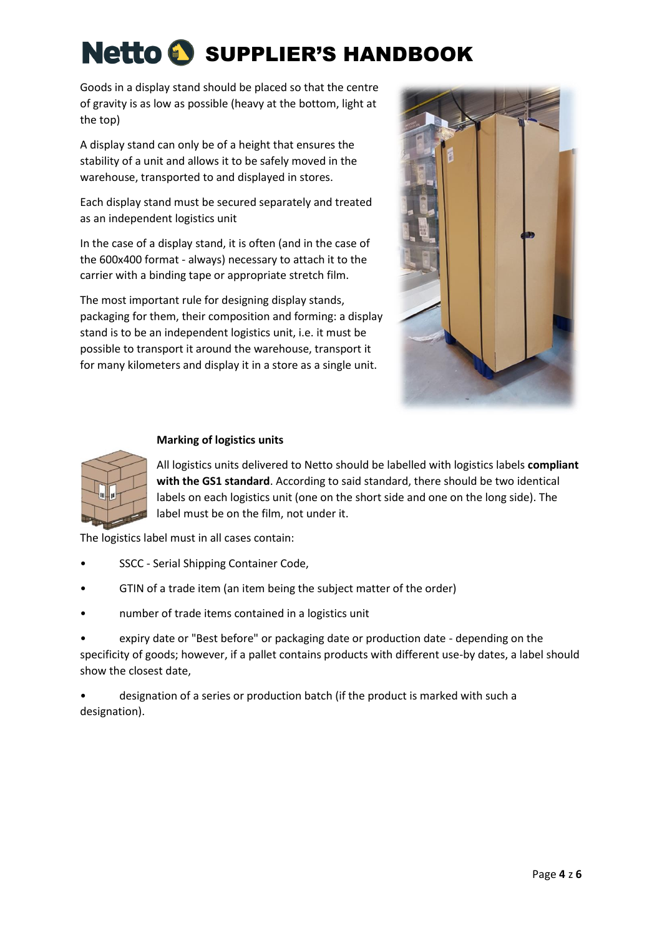Goods in a display stand should be placed so that the centre of gravity is as low as possible (heavy at the bottom, light at the top)

A display stand can only be of a height that ensures the stability of a unit and allows it to be safely moved in the warehouse, transported to and displayed in stores.

Each display stand must be secured separately and treated as an independent logistics unit

In the case of a display stand, it is often (and in the case of the 600x400 format - always) necessary to attach it to the carrier with a binding tape or appropriate stretch film.

The most important rule for designing display stands, packaging for them, their composition and forming: a display stand is to be an independent logistics unit, i.e. it must be possible to transport it around the warehouse, transport it for many kilometers and display it in a store as a single unit.



### **Marking of logistics units**

All logistics units delivered to Netto should be labelled with logistics labels **compliant with the GS1 standard**. According to said standard, there should be two identical labels on each logistics unit (one on the short side and one on the long side). The label must be on the film, not under it.

The logistics label must in all cases contain:

- SSCC Serial Shipping Container Code,
- GTIN of a trade item (an item being the subject matter of the order)
- number of trade items contained in a logistics unit

• expiry date or "Best before" or packaging date or production date - depending on the specificity of goods; however, if a pallet contains products with different use-by dates, a label should show the closest date,

• designation of a series or production batch (if the product is marked with such a designation).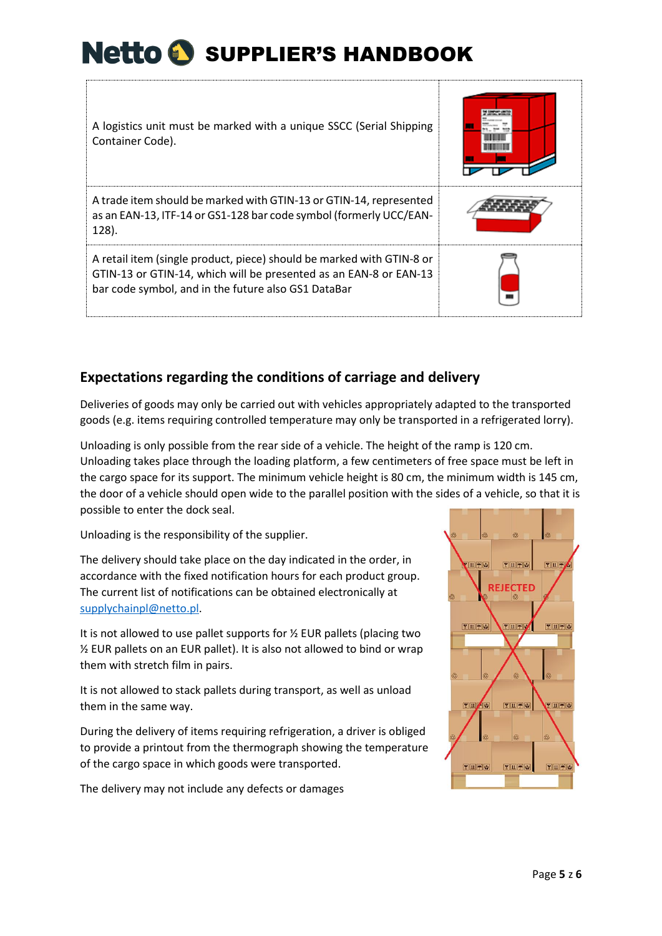| A logistics unit must be marked with a unique SSCC (Serial Shipping<br>Container Code).                                                                                                           |  |
|---------------------------------------------------------------------------------------------------------------------------------------------------------------------------------------------------|--|
| A trade item should be marked with GTIN-13 or GTIN-14, represented<br>as an EAN-13, ITF-14 or GS1-128 bar code symbol (formerly UCC/EAN-<br>128).                                                 |  |
| A retail item (single product, piece) should be marked with GTIN-8 or<br>GTIN-13 or GTIN-14, which will be presented as an EAN-8 or EAN-13<br>bar code symbol, and in the future also GS1 DataBar |  |

# **Expectations regarding the conditions of carriage and delivery**

Deliveries of goods may only be carried out with vehicles appropriately adapted to the transported goods (e.g. items requiring controlled temperature may only be transported in a refrigerated lorry).

Unloading is only possible from the rear side of a vehicle. The height of the ramp is 120 cm. Unloading takes place through the loading platform, a few centimeters of free space must be left in the cargo space for its support. The minimum vehicle height is 80 cm, the minimum width is 145 cm, the door of a vehicle should open wide to the parallel position with the sides of a vehicle, so that it is possible to enter the dock seal.

Unloading is the responsibility of the supplier.

The delivery should take place on the day indicated in the order, in accordance with the fixed notification hours for each product group. The current list of notifications can be obtained electronically at [supplychainpl@netto.pl.](mailto:supplychainpl@netto.pl)

It is not allowed to use pallet supports for  $\frac{1}{2}$  EUR pallets (placing two ½ EUR pallets on an EUR pallet). It is also not allowed to bind or wrap them with stretch film in pairs.

It is not allowed to stack pallets during transport, as well as unload them in the same way.

During the delivery of items requiring refrigeration, a driver is obliged to provide a printout from the thermograph showing the temperature of the cargo space in which goods were transported.

The delivery may not include any defects or damages